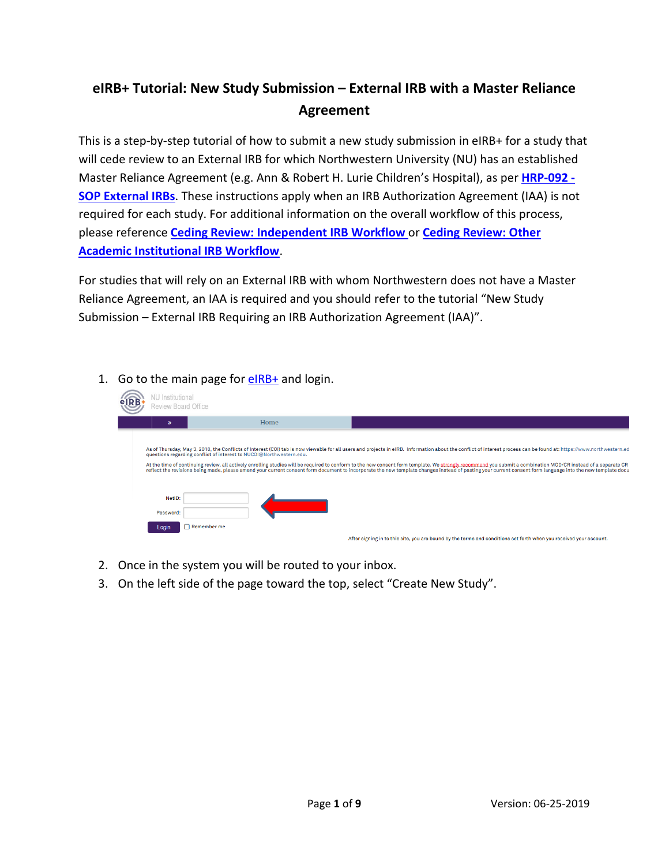# **eIRB+ Tutorial: New Study Submission – External IRB with a Master Reliance Agreement**

This is a step-by-step tutorial of how to submit a new study submission in eIRB+ for a study that will cede review to an External IRB for which Northwestern University (NU) has an established Master Reliance Agreement (e.g. Ann & Robert H. Lurie Children's Hospital), as per **[HRP-092 -](https://irb.northwestern.edu/sites/irb/files/documents/HRP-092%20-%20SOP%20-%20External%20IRBs_11222018.pdf) [SOP External IRBs](https://irb.northwestern.edu/sites/irb/files/documents/HRP-092%20-%20SOP%20-%20External%20IRBs_11222018.pdf)**. These instructions apply when an IRB Authorization Agreement (IAA) is not required for each study. For additional information on the overall workflow of this process, please reference **[Ceding Review: Independent IRB Workflow](https://irb.northwestern.edu/sites/irb/files/documents/Visio-Independent%20IRB%20Workflow%20%2804-05-2017%29.pdf)** or **[Ceding Review: Other](https://irb.northwestern.edu/sites/irb/files/documents/Visio-Non-Affiliated%20Higher%20Education%20IRB%20Workflow%20%2804-05-2017%29.pdf)  [Academic Institutional IRB Workflow](https://irb.northwestern.edu/sites/irb/files/documents/Visio-Non-Affiliated%20Higher%20Education%20IRB%20Workflow%20%2804-05-2017%29.pdf)**.

For studies that will rely on an External IRB with whom Northwestern does not have a Master Reliance Agreement, an IAA is required and you should refer to the tutorial "New Study Submission – External IRB Requiring an IRB Authorization Agreement (IAA)".

1. Go to the main page for  $elRB+$  and login.

| <b>VU</b> Institutional<br>Review Board Office |                                                                     |                                                                                                                                                                                                                                                                                                                                                                                                                                                                                                                                                                                                                                                     |
|------------------------------------------------|---------------------------------------------------------------------|-----------------------------------------------------------------------------------------------------------------------------------------------------------------------------------------------------------------------------------------------------------------------------------------------------------------------------------------------------------------------------------------------------------------------------------------------------------------------------------------------------------------------------------------------------------------------------------------------------------------------------------------------------|
|                                                | Home                                                                |                                                                                                                                                                                                                                                                                                                                                                                                                                                                                                                                                                                                                                                     |
|                                                | guestions regarding conflict of interest to NUCOI@Northwestern.edu. | As of Thursday, May 3, 2018, the Conflicts of Interest (COI) tab is now viewable for all users and projects in eIRB. Information about the conflict of interest process can be found at: https://www.northwestern.ed<br>At the time of continuing review, all actively enrolling studies will be required to conform to the new consent form template. We strongly recommend you submit a combination MOD/CR instead of a separate CR<br>reflect the revisions being made, please amend your current consent form document to incorporate the new template changes instead of pasting your current consent form language into the new template docu |
| NetID:<br>Password:                            |                                                                     |                                                                                                                                                                                                                                                                                                                                                                                                                                                                                                                                                                                                                                                     |
| Login                                          | Remember me                                                         | After signing in to this site, you are bound by the terms and conditions set forth when you received your account.                                                                                                                                                                                                                                                                                                                                                                                                                                                                                                                                  |

- 2. Once in the system you will be routed to your inbox.
- 3. On the left side of the page toward the top, select "Create New Study".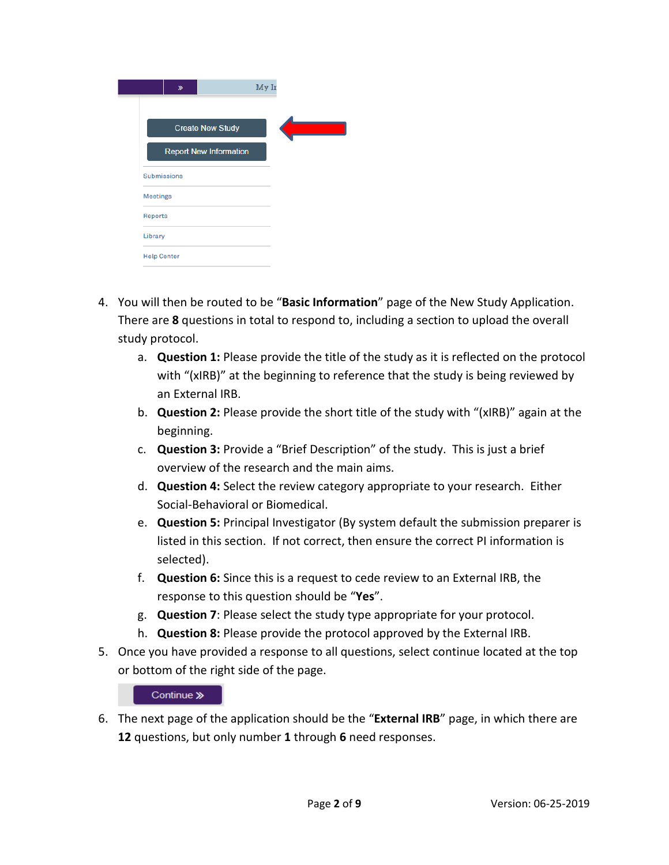| $\gg$                         | My Ir |
|-------------------------------|-------|
| <b>Create New Study</b>       |       |
| <b>Report New Information</b> |       |
| <b>Submissions</b>            |       |
| <b>Meetings</b>               |       |
| <b>Reports</b>                |       |
| Library                       |       |
| <b>Help Center</b>            |       |

- 4. You will then be routed to be "**Basic Information**" page of the New Study Application. There are **8** questions in total to respond to, including a section to upload the overall study protocol.
	- a. **Question 1:** Please provide the title of the study as it is reflected on the protocol with "(xIRB)" at the beginning to reference that the study is being reviewed by an External IRB.
	- b. **Question 2:** Please provide the short title of the study with "(xIRB)" again at the beginning.
	- c. **Question 3:** Provide a "Brief Description" of the study. This is just a brief overview of the research and the main aims.
	- d. **Question 4:** Select the review category appropriate to your research. Either Social-Behavioral or Biomedical.
	- e. **Question 5:** Principal Investigator (By system default the submission preparer is listed in this section. If not correct, then ensure the correct PI information is selected).
	- f. **Question 6:** Since this is a request to cede review to an External IRB, the response to this question should be "**Yes**".
	- g. **Question 7**: Please select the study type appropriate for your protocol.
	- h. **Question 8:** Please provide the protocol approved by the External IRB.
- 5. Once you have provided a response to all questions, select continue located at the top or bottom of the right side of the page.

## Continue »

6. The next page of the application should be the "**External IRB**" page, in which there are **12** questions, but only number **1** through **6** need responses.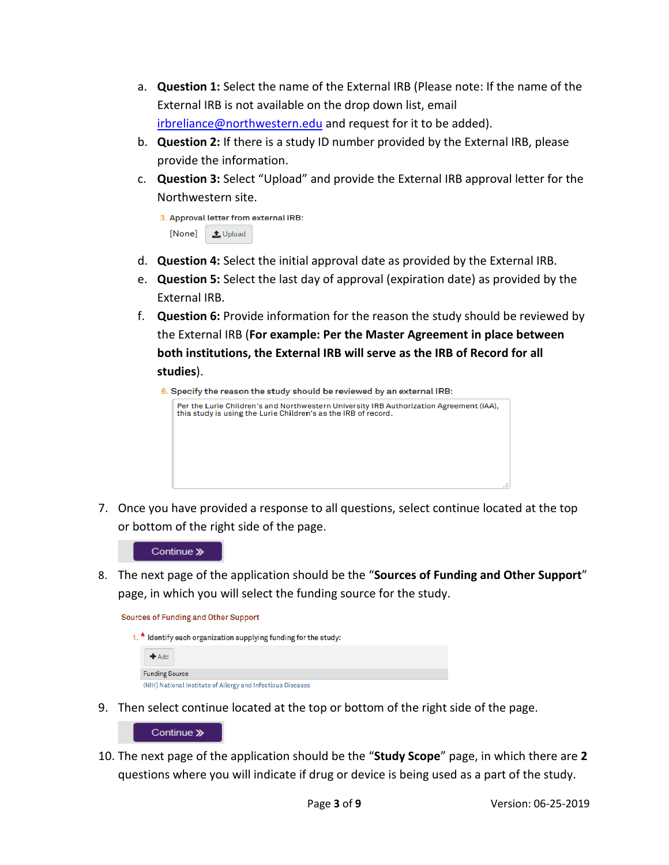- a. **Question 1:** Select the name of the External IRB (Please note: If the name of the External IRB is not available on the drop down list, email [irbreliance@northwestern.edu](mailto:irbreliance@northwestern.edu) and request for it to be added).
- b. **Question 2:** If there is a study ID number provided by the External IRB, please provide the information.
- c. **Question 3:** Select "Upload" and provide the External IRB approval letter for the Northwestern site.

|                 | 3. Approval letter from external IRB: |
|-----------------|---------------------------------------|
| [None] 1 Upload |                                       |

- d. **Question 4:** Select the initial approval date as provided by the External IRB.
- e. **Question 5:** Select the last day of approval (expiration date) as provided by the External IRB.
- f. **Question 6:** Provide information for the reason the study should be reviewed by the External IRB (**For example: Per the Master Agreement in place between both institutions, the External IRB will serve as the IRB of Record for all studies**).
	- 6. Specify the reason the study should be reviewed by an external IRB:



7. Once you have provided a response to all questions, select continue located at the top or bottom of the right side of the page.

#### Continue »

8. The next page of the application should be the "**Sources of Funding and Other Support**" page, in which you will select the funding source for the study.

**Sources of Funding and Other Support** 



9. Then select continue located at the top or bottom of the right side of the page.



10. The next page of the application should be the "**Study Scope**" page, in which there are **2**  questions where you will indicate if drug or device is being used as a part of the study.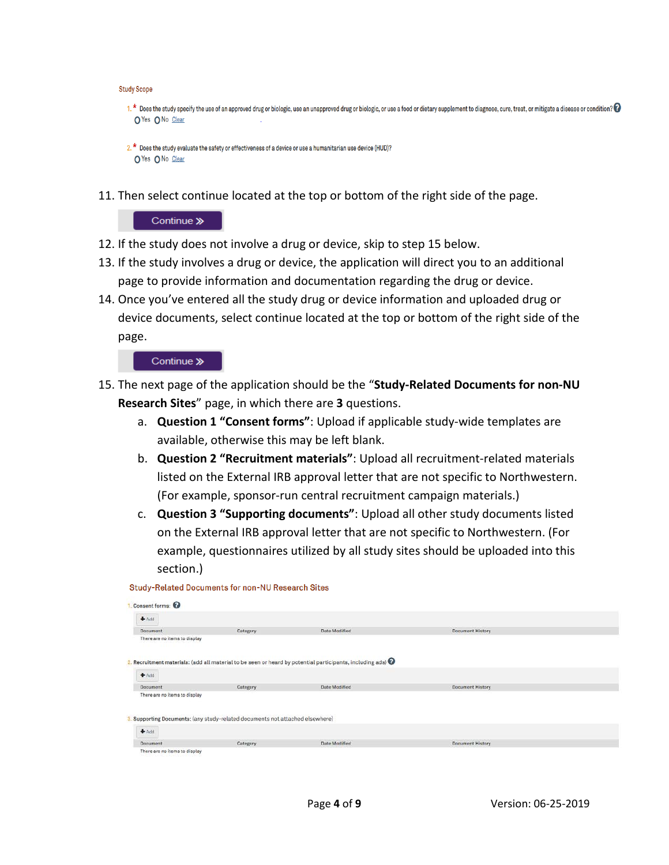```
Study Scope
```

```
1. * Does the study specify the use of an approved drug or biologic, use an unapproved drug or biologic, or use a food or dietary supplement to diagnose, cure, treat, or mitigate a disease or condition?
O Yes O No Clear
```

```
2. * Does the study evaluate the safety or effectiveness of a device or use a humanitarian use device (HUD)?
O Yes O No Clear
```
11. Then select continue located at the top or bottom of the right side of the page.

Continue »

- 12. If the study does not involve a drug or device, skip to step 15 below.
- 13. If the study involves a drug or device, the application will direct you to an additional page to provide information and documentation regarding the drug or device.
- 14. Once you've entered all the study drug or device information and uploaded drug or device documents, select continue located at the top or bottom of the right side of the page.

## Continue »

- 15. The next page of the application should be the "**Study-Related Documents for non-NU Research Sites**" page, in which there are **3** questions.
	- a. **Question 1 "Consent forms"**: Upload if applicable study-wide templates are available, otherwise this may be left blank.
	- b. **Question 2 "Recruitment materials"**: Upload all recruitment-related materials listed on the External IRB approval letter that are not specific to Northwestern. (For example, sponsor-run central recruitment campaign materials.)
	- c. **Question 3 "Supporting documents"**: Upload all other study documents listed on the External IRB approval letter that are not specific to Northwestern. (For example, questionnaires utilized by all study sites should be uploaded into this section.)

Study-Related Documents for non-NU Research Sites

| Consent forms:                |                                                                               |                                                                                                                      |                         |  |
|-------------------------------|-------------------------------------------------------------------------------|----------------------------------------------------------------------------------------------------------------------|-------------------------|--|
| $A$ Add                       |                                                                               |                                                                                                                      |                         |  |
| Document                      | Category                                                                      | Date Modified                                                                                                        | <b>Document History</b> |  |
| There are no items to display |                                                                               |                                                                                                                      |                         |  |
|                               |                                                                               |                                                                                                                      |                         |  |
|                               |                                                                               |                                                                                                                      |                         |  |
|                               |                                                                               | 2. Recruitment materials: (add all material to be seen or heard by potential participants, including ads) $\bigcirc$ |                         |  |
| $+Add$                        |                                                                               |                                                                                                                      |                         |  |
| <b>Document</b>               | Category                                                                      | Date Modified                                                                                                        | <b>Document History</b> |  |
| There are no items to display |                                                                               |                                                                                                                      |                         |  |
|                               |                                                                               |                                                                                                                      |                         |  |
|                               |                                                                               |                                                                                                                      |                         |  |
|                               | 8. Supporting Documents: (any study-related documents not attached elsewhere) |                                                                                                                      |                         |  |
| $+Add$                        |                                                                               |                                                                                                                      |                         |  |
|                               |                                                                               |                                                                                                                      |                         |  |
| Document                      | Category                                                                      | Date Modified                                                                                                        | <b>Document History</b> |  |
| There are no items to display |                                                                               |                                                                                                                      |                         |  |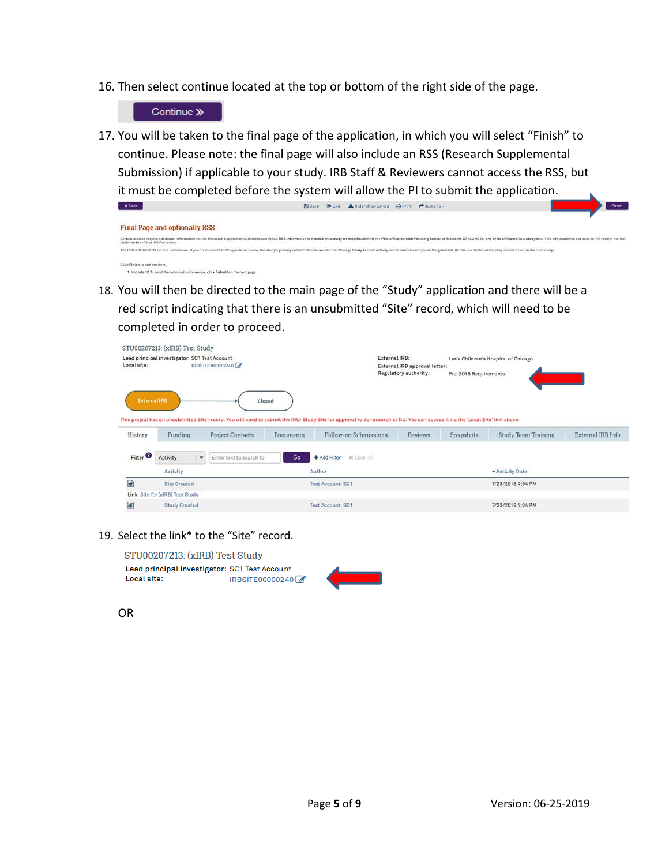16. Then select continue located at the top or bottom of the right side of the page.

Continue »

17. You will be taken to the final page of the application, in which you will select "Finish" to continue. Please note: the final page will also include an RSS (Research Supplemental Submission) if applicable to your study. IRB Staff & Reviewers cannot access the RSS, but it must be completed before the system will allow the PI to submit the application.  $\epsilon$ Back El Save <sup>(+</sup> Exit A Hide/Show Errors A Print <sup>+</sup> Jump To -

|                                                                              | <b>MARINE A STATISTIC AND A STATISTIC CONTRACT A STATISTIC AND A STATISTIC CONTRACT OF A STATISTIC CONTRACT OF A STATISTIC CONTRACT OF A STATISTIC CONTRACT OF A STATISTIC CONTRACT OF A STATISTIC CONTRACT OF A STATISTIC CONTR</b> |  |
|------------------------------------------------------------------------------|--------------------------------------------------------------------------------------------------------------------------------------------------------------------------------------------------------------------------------------|--|
|                                                                              |                                                                                                                                                                                                                                      |  |
| <b>Final Page and optionally RSS</b>                                         |                                                                                                                                                                                                                                      |  |
| callble to the IRB or IRB Reviewers.                                         | Certain studies require additional information via the Research Supplemental Submission (RSS). RSS information is needed on a study for modification) if the Pi is affiliated with Feinberg School of Medicine OR NMHC (or one       |  |
|                                                                              | The RSS is REQUIRED for this submission. If you do not see the RSS questions below, the study's primary contact should execute the 'Manage Study Access' activity on the study to add you to the guest list. Df this is a modi       |  |
| Click Finish to exit the form.                                               |                                                                                                                                                                                                                                      |  |
| Important! To send the submission for review, click Submit on the next page. |                                                                                                                                                                                                                                      |  |

18. You will then be directed to the main page of the "Study" application and there will be a red script indicating that there is an unsubmitted "Site" record, which will need to be completed in order to proceed.

|                                | STU00207213: (xIRB) Test Study                |                                   |           |                                                                                                                                                                                                         |                                                               |                       |                                      |                   |
|--------------------------------|-----------------------------------------------|-----------------------------------|-----------|---------------------------------------------------------------------------------------------------------------------------------------------------------------------------------------------------------|---------------------------------------------------------------|-----------------------|--------------------------------------|-------------------|
| Local site:                    | Lead principal investigator: SC1 Test Account | IRBSITE00000240                   |           | External IRB:                                                                                                                                                                                           | External IRB approval letter:<br><b>Regulatory authority:</b> | Pre-2018 Requirements | Lurie Children's Hospital of Chicago |                   |
| <b>External IRB</b><br>History | Funding                                       | Closed<br><b>Project Contacts</b> | Documents | This project has an unsubmitted Site record. You will need to submit the (NU) Study Site for approval to do research at NU. You can access it via the 'Local Site' link above.<br>Follow-on Submissions | <b>Reviews</b>                                                | Snapshots             | <b>Study Team Training</b>           | External IRB Info |
|                                |                                               |                                   |           |                                                                                                                                                                                                         |                                                               |                       |                                      |                   |
| Filter <sup>2</sup>            | Activity                                      | Enter text to search for<br>۰     | Go        | <b>x</b> Clear All:<br>+ Add Filter                                                                                                                                                                     |                                                               |                       |                                      |                   |
|                                | Activity                                      |                                   |           | Author                                                                                                                                                                                                  |                                                               |                       | * Activity Date                      |                   |
| ₽                              | <b>Site Created</b>                           |                                   |           | <b>Test Account, SC1</b>                                                                                                                                                                                |                                                               |                       | 7/23/2018 4:04 PM                    |                   |
|                                | Link: Site for (xIRB) Test Study              |                                   |           |                                                                                                                                                                                                         |                                                               |                       |                                      |                   |
| 國                              | <b>Study Created</b>                          |                                   |           | Test Account, SC1                                                                                                                                                                                       |                                                               |                       | 7/23/2018 4:04 PM                    |                   |

### 19. Select the link\* to the "Site" record.

STU00207213: (xIRB) Test Study Lead principal investigator: SC1 Test Account Local site: IRBSITE00000240



OR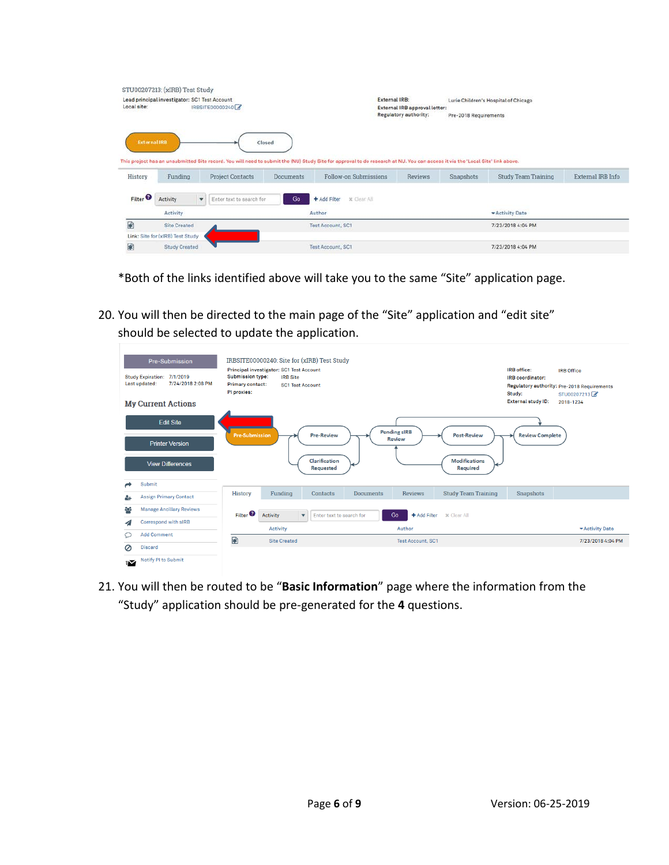|                                | STU00207213: (xIRB) Test Study                |   |                                   |                  |                                                                                                                                                                                                         |                                                               |                       |                                      |                   |
|--------------------------------|-----------------------------------------------|---|-----------------------------------|------------------|---------------------------------------------------------------------------------------------------------------------------------------------------------------------------------------------------------|---------------------------------------------------------------|-----------------------|--------------------------------------|-------------------|
| Local site:                    | Lead principal investigator: SC1 Test Account |   | IRBSITE00000240                   |                  | External IRB:                                                                                                                                                                                           | External IRB approval letter:<br><b>Regulatory authority:</b> | Pre-2018 Requirements | Lurie Children's Hospital of Chicago |                   |
| <b>External IRB</b><br>History | Funding                                       |   | Closed<br><b>Project Contacts</b> | <b>Documents</b> | This project has an unsubmitted Site record. You will need to submit the (NU) Study Site for approval to do research at NU. You can access it via the 'Local Site' link above.<br>Follow-on Submissions | <b>Reviews</b>                                                | Snapshots             | <b>Study Team Training</b>           | External IRB Info |
|                                |                                               |   |                                   |                  |                                                                                                                                                                                                         |                                                               |                       |                                      |                   |
| Filter <sup>®</sup>            | Activity                                      | ۰ | Enter text to search for          | Go               | + Add Filter<br><b>x</b> Clear All:                                                                                                                                                                     |                                                               |                       |                                      |                   |
| 國                              | Activity<br><b>Site Created</b>               |   |                                   |                  | Author<br>Test Account, SC1                                                                                                                                                                             |                                                               |                       | - Activity Date<br>7/23/2018 4:04 PM |                   |
|                                | Link: Site for (xIRB) Test Study              |   |                                   |                  |                                                                                                                                                                                                         |                                                               |                       |                                      |                   |

\*Both of the links identified above will take you to the same "Site" application page.

20. You will then be directed to the main page of the "Site" application and "edit site" should be selected to update the application.

|        | Pre-Submission<br>Study Expiration: 7/1/2019<br>7/24/2018 2:08 PM<br>Last updated: | <b>Submission type:</b><br><b>Primary contact:</b><br>PI proxies: | IRBSITE00000240: Site for (xIRB) Test Study<br>Principal investigator: SC1 Test Account<br><b>IRB</b> Site<br><b>SC1 Test Account</b> |                            |                  |                                      |                            | IRB office:<br>IRB coordinator:<br>Study: | <b>IRB</b> Office<br>Regulatory authority: Pre-2018 Requirements<br>STU00207213 |
|--------|------------------------------------------------------------------------------------|-------------------------------------------------------------------|---------------------------------------------------------------------------------------------------------------------------------------|----------------------------|------------------|--------------------------------------|----------------------------|-------------------------------------------|---------------------------------------------------------------------------------|
|        | <b>My Current Actions</b>                                                          |                                                                   |                                                                                                                                       |                            |                  |                                      |                            | <b>External study ID:</b>                 | 2018-1234                                                                       |
|        | <b>Edit Site</b>                                                                   | <b>Pre-Submission</b>                                             |                                                                                                                                       | <b>Pre-Review</b>          |                  | <b>Pending sIRB</b><br><b>Review</b> | <b>Post-Review</b>         | <b>Review Complete</b>                    |                                                                                 |
|        | <b>Printer Version</b>                                                             |                                                                   |                                                                                                                                       |                            |                  |                                      |                            |                                           |                                                                                 |
|        | <b>View Differences</b><br><b>Submit</b>                                           |                                                                   |                                                                                                                                       | Clarification<br>Requested |                  |                                      | Modifications<br>Required  |                                           |                                                                                 |
|        |                                                                                    | <b>History</b>                                                    | Funding                                                                                                                               | Contacts                   | <b>Documents</b> | <b>Reviews</b>                       | <b>Study Team Training</b> | Snapshots                                 |                                                                                 |
| 4      | <b>Assign Primary Contact</b>                                                      |                                                                   |                                                                                                                                       |                            |                  |                                      |                            |                                           |                                                                                 |
| ęφ     | <b>Manage Ancillary Reviews</b>                                                    | Filter <sup>2</sup>                                               | <b>Activity</b><br>$\overline{\mathbf{v}}$                                                                                            | Enter text to search for   |                  | Go<br>+ Add Filter                   | <b>x</b> Clear All         |                                           |                                                                                 |
| ◢      | <b>Correspond with sIRB</b>                                                        |                                                                   |                                                                                                                                       |                            |                  |                                      |                            |                                           |                                                                                 |
| Ω      | <b>Add Comment</b>                                                                 |                                                                   | <b>Activity</b>                                                                                                                       |                            |                  | Author                               |                            |                                           | * Activity Date                                                                 |
| Ø      | <b>Discard</b>                                                                     | 國                                                                 | <b>Site Created</b>                                                                                                                   |                            |                  | <b>Test Account, SC1</b>             |                            |                                           | 7/23/2018 4:04 PM                                                               |
| $\sim$ | Notify PI to Submit                                                                |                                                                   |                                                                                                                                       |                            |                  |                                      |                            |                                           |                                                                                 |

21. You will then be routed to be "**Basic Information**" page where the information from the "Study" application should be pre-generated for the **4** questions.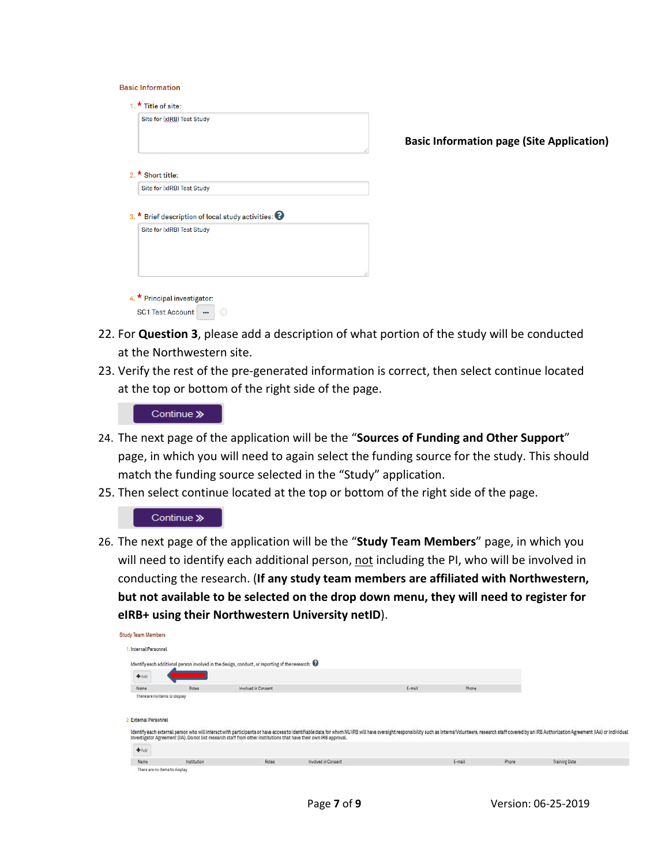| <b>Basic Information</b> |  |
|--------------------------|--|
|                          |  |

|                                                                | J. |
|----------------------------------------------------------------|----|
|                                                                |    |
|                                                                |    |
| 3. * Brief description of local study activities: <sup>3</sup> |    |
|                                                                |    |
|                                                                |    |
|                                                                |    |

- 22. For **Question 3**, please add a description of what portion of the study will be conducted at the Northwestern site.
- 23. Verify the rest of the pre-generated information is correct, then select continue located at the top or bottom of the right side of the page.



- 24. The next page of the application will be the "**Sources of Funding and Other Support**" page, in which you will need to again select the funding source for the study. This should match the funding source selected in the "Study" application.
- 25. Then select continue located at the top or bottom of the right side of the page.

#### Continue »

26. The next page of the application will be the "**Study Team Members**" page, in which you will need to identify each additional person, not including the PI, who will be involved in conducting the research. (**If any study team members are affiliated with Northwestern, but not available to be selected on the drop down menu, they will need to register for eIRB+ using their Northwestern University netID**).

| Study Team Members            |             |                                                                                                                    |                     |        |        |       |                                                                                                                                                                                                                                |
|-------------------------------|-------------|--------------------------------------------------------------------------------------------------------------------|---------------------|--------|--------|-------|--------------------------------------------------------------------------------------------------------------------------------------------------------------------------------------------------------------------------------|
| Internal Personnel            |             |                                                                                                                    |                     |        |        |       |                                                                                                                                                                                                                                |
|                               |             | Identify each additional person involved in the design, conduct, or reporting of the research: $\Theta$            |                     |        |        |       |                                                                                                                                                                                                                                |
| $+Add$                        |             |                                                                                                                    |                     |        |        |       |                                                                                                                                                                                                                                |
| Name                          | Roles       | Involved in Consent                                                                                                |                     | E-mail | Phone  |       |                                                                                                                                                                                                                                |
| <b>External Personnel</b>     |             | Investigator Agreement (IIA). Do not list research staff from other institutions that have their own IRB approval. |                     |        |        |       | Identify each external person who will interact with participants or have access to identifiable data for whom NU IRB will have oversight responsibility such as Interns/Volunteers, research staff covered by an IRB Authoriz |
| $+$ Add                       |             |                                                                                                                    |                     |        |        |       |                                                                                                                                                                                                                                |
| Name                          | Institution | Roles:                                                                                                             | Involved in Consent |        | E-mail | Phone | Training Date                                                                                                                                                                                                                  |
| There are no items to display |             |                                                                                                                    |                     |        |        |       |                                                                                                                                                                                                                                |

**Basic Information page (Site Application)**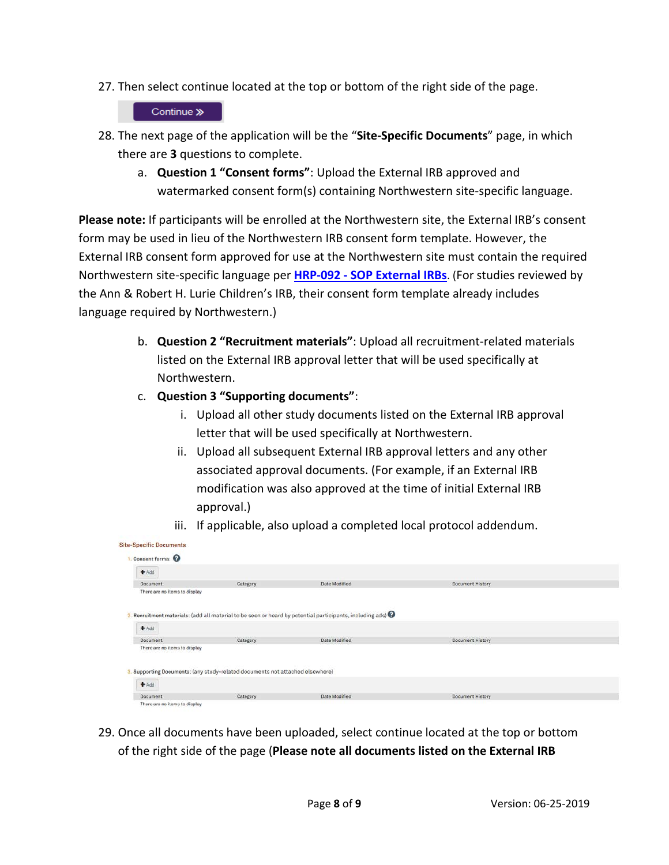27. Then select continue located at the top or bottom of the right side of the page.

# Continue »

- 28. The next page of the application will be the "**Site-Specific Documents**" page, in which there are **3** questions to complete.
	- a. **Question 1 "Consent forms"**: Upload the External IRB approved and watermarked consent form(s) containing Northwestern site-specific language.

**Please note:** If participants will be enrolled at the Northwestern site, the External IRB's consent form may be used in lieu of the Northwestern IRB consent form template. However, the External IRB consent form approved for use at the Northwestern site must contain the required Northwestern site-specific language per **HRP-092 - [SOP External IRBs](https://irb.northwestern.edu/sites/irb/files/documents/HRP-092%20-%20SOP%20-%20External%20IRBs_11222018.pdf)**. (For studies reviewed by the Ann & Robert H. Lurie Children's IRB, their consent form template already includes language required by Northwestern.)

- b. **Question 2 "Recruitment materials"**: Upload all recruitment-related materials listed on the External IRB approval letter that will be used specifically at Northwestern.
- c. **Question 3 "Supporting documents"**:
	- i. Upload all other study documents listed on the External IRB approval letter that will be used specifically at Northwestern.
	- ii. Upload all subsequent External IRB approval letters and any other associated approval documents. (For example, if an External IRB modification was also approved at the time of initial External IRB approval.)
	- iii. If applicable, also upload a completed local protocol addendum.

| $+Add$                        |                                                                               |                                                                                                                    |                  |  |
|-------------------------------|-------------------------------------------------------------------------------|--------------------------------------------------------------------------------------------------------------------|------------------|--|
| Document                      | Category                                                                      | Date Modified                                                                                                      | Document History |  |
| There are no items to display |                                                                               |                                                                                                                    |                  |  |
|                               |                                                                               |                                                                                                                    |                  |  |
|                               |                                                                               |                                                                                                                    |                  |  |
|                               |                                                                               |                                                                                                                    |                  |  |
|                               |                                                                               | . Recruitment materials: (add all material to be seen or heard by potential participants, including ads) $\bullet$ |                  |  |
| Add                           |                                                                               |                                                                                                                    |                  |  |
| <b>Document</b>               | Category                                                                      | Date Modified                                                                                                      | Document History |  |
| There are no items to display |                                                                               |                                                                                                                    |                  |  |
|                               |                                                                               |                                                                                                                    |                  |  |
|                               |                                                                               |                                                                                                                    |                  |  |
|                               | 3. Supporting Documents: (any study-related documents not attached elsewhere) |                                                                                                                    |                  |  |
| Add                           |                                                                               |                                                                                                                    |                  |  |

29. Once all documents have been uploaded, select continue located at the top or bottom of the right side of the page (**Please note all documents listed on the External IRB**